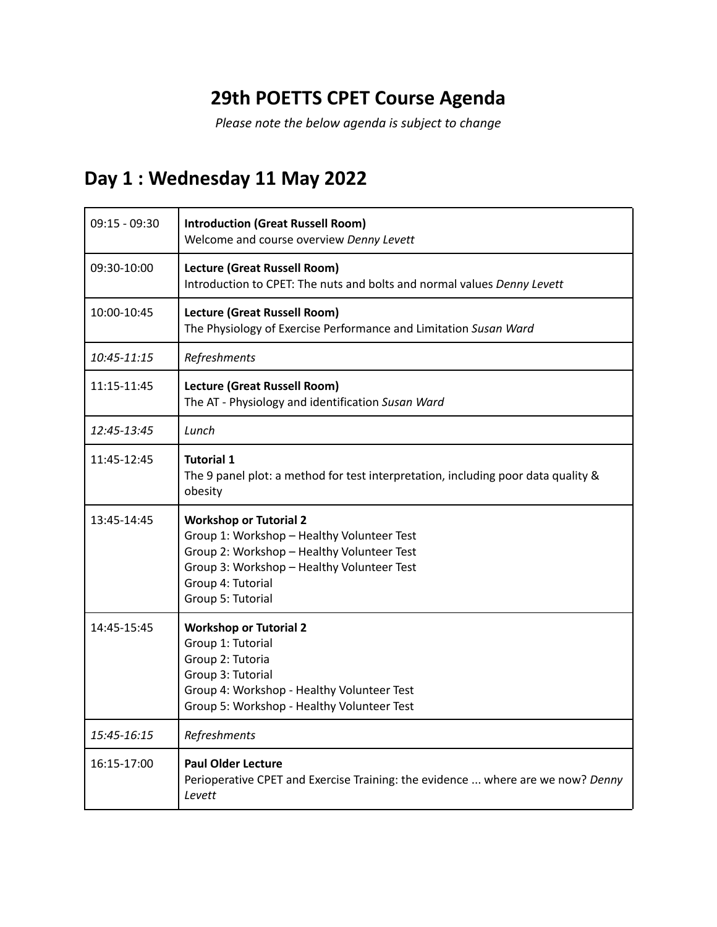## **29th POETTS CPET Course Agenda**

*Please note the below agenda is subject to change*

## **Day 1 : Wednesday 11 May 2022**

| $09:15 - 09:30$ | <b>Introduction (Great Russell Room)</b><br>Welcome and course overview Denny Levett                                                                                                                              |
|-----------------|-------------------------------------------------------------------------------------------------------------------------------------------------------------------------------------------------------------------|
| 09:30-10:00     | Lecture (Great Russell Room)<br>Introduction to CPET: The nuts and bolts and normal values Denny Levett                                                                                                           |
| 10:00-10:45     | <b>Lecture (Great Russell Room)</b><br>The Physiology of Exercise Performance and Limitation Susan Ward                                                                                                           |
| 10:45-11:15     | Refreshments                                                                                                                                                                                                      |
| 11:15-11:45     | <b>Lecture (Great Russell Room)</b><br>The AT - Physiology and identification Susan Ward                                                                                                                          |
| 12:45-13:45     | Lunch                                                                                                                                                                                                             |
| 11:45-12:45     | <b>Tutorial 1</b><br>The 9 panel plot: a method for test interpretation, including poor data quality &<br>obesity                                                                                                 |
| 13:45-14:45     | <b>Workshop or Tutorial 2</b><br>Group 1: Workshop - Healthy Volunteer Test<br>Group 2: Workshop - Healthy Volunteer Test<br>Group 3: Workshop - Healthy Volunteer Test<br>Group 4: Tutorial<br>Group 5: Tutorial |
| 14:45-15:45     | <b>Workshop or Tutorial 2</b><br>Group 1: Tutorial<br>Group 2: Tutoria<br>Group 3: Tutorial<br>Group 4: Workshop - Healthy Volunteer Test<br>Group 5: Workshop - Healthy Volunteer Test                           |
| 15:45-16:15     | Refreshments                                                                                                                                                                                                      |
| 16:15-17:00     | <b>Paul Older Lecture</b><br>Perioperative CPET and Exercise Training: the evidence  where are we now? Denny<br>Levett                                                                                            |